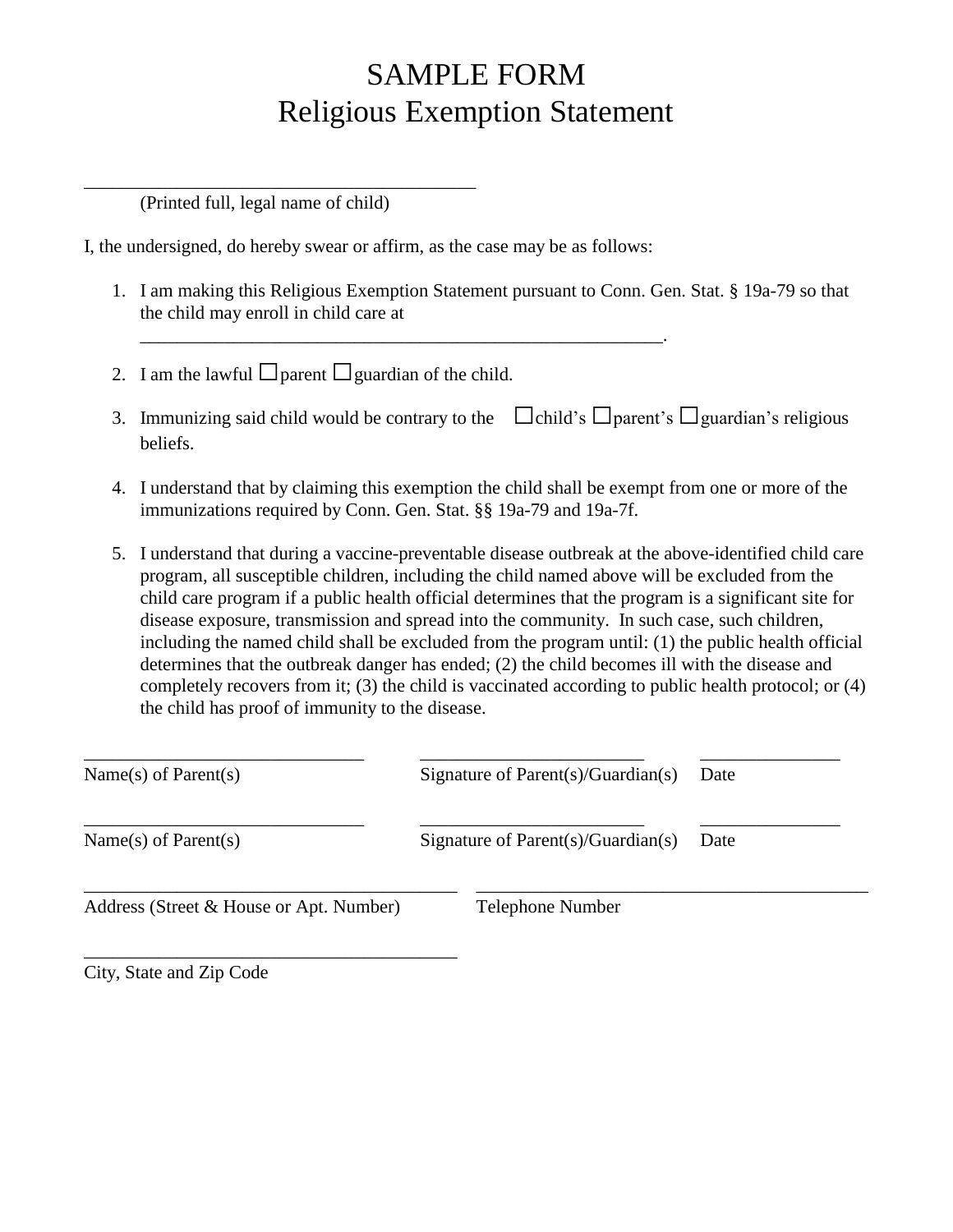## SAMPLE FORM Religious Exemption Statement

(Printed full, legal name of child)

\_\_\_\_\_\_\_\_\_\_\_\_\_\_\_\_\_\_\_\_\_\_\_\_\_\_\_\_\_\_\_\_\_\_\_\_\_\_\_\_\_\_

I, the undersigned, do hereby swear or affirm, as the case may be as follows:

\_\_\_\_\_\_\_\_\_\_\_\_\_\_\_\_\_\_\_\_\_\_\_\_\_\_\_\_\_\_\_\_\_\_\_\_\_\_\_\_\_\_\_\_\_\_\_\_\_\_\_\_\_\_\_\_.

- 1. I am making this Religious Exemption Statement pursuant to Conn. Gen. Stat. § 19a-79 so that the child may enroll in child care at
- 2. I am the lawful  $\Box$ parent  $\Box$ guardian of the child.
- 3. Immunizing said child would be contrary to the  $\Box$ child's  $\Box$ parent's  $\Box$ guardian's religious beliefs.
- 4. I understand that by claiming this exemption the child shall be exempt from one or more of the immunizations required by Conn. Gen. Stat. §§ 19a-79 and 19a-7f.
- 5. I understand that during a vaccine-preventable disease outbreak at the above-identified child care program, all susceptible children, including the child named above will be excluded from the child care program if a public health official determines that the program is a significant site for disease exposure, transmission and spread into the community. In such case, such children, including the named child shall be excluded from the program until: (1) the public health official determines that the outbreak danger has ended; (2) the child becomes ill with the disease and completely recovers from it; (3) the child is vaccinated according to public health protocol; or (4) the child has proof of immunity to the disease.

| Name(s) of Parent(s)                    | Signature of Parent $(s)/$ Guardian $(s)$ | Date |
|-----------------------------------------|-------------------------------------------|------|
| Name(s) of Parent(s)                    | Signature of Parent $(s)/$ Guardian $(s)$ | Date |
| Address (Street & House or Apt. Number) | <b>Telephone Number</b>                   |      |

City, State and Zip Code

\_\_\_\_\_\_\_\_\_\_\_\_\_\_\_\_\_\_\_\_\_\_\_\_\_\_\_\_\_\_\_\_\_\_\_\_\_\_\_\_